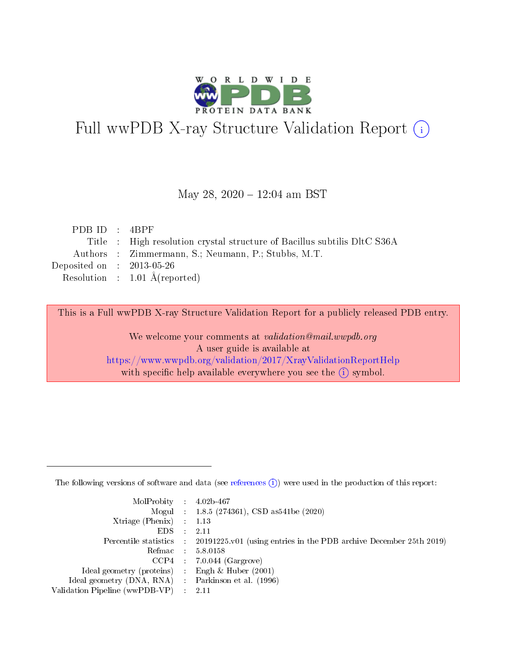

# Full wwPDB X-ray Structure Validation Report (i)

#### May 28, 2020 - 12:04 am BST

| PDB ID: 4BPF                |                                                                          |
|-----------------------------|--------------------------------------------------------------------------|
|                             | Title : High resolution crystal structure of Bacillus subtilis DltC S36A |
|                             | Authors : Zimmermann, S.; Neumann, P.; Stubbs, M.T.                      |
| Deposited on : $2013-05-26$ |                                                                          |
|                             | Resolution : $1.01 \text{ Å}$ (reported)                                 |
|                             |                                                                          |

This is a Full wwPDB X-ray Structure Validation Report for a publicly released PDB entry.

We welcome your comments at validation@mail.wwpdb.org A user guide is available at <https://www.wwpdb.org/validation/2017/XrayValidationReportHelp> with specific help available everywhere you see the  $(i)$  symbol.

The following versions of software and data (see [references](https://www.wwpdb.org/validation/2017/XrayValidationReportHelp#references)  $(1)$ ) were used in the production of this report:

| $MolProbability$ : 4.02b-467                        |                                                                                            |
|-----------------------------------------------------|--------------------------------------------------------------------------------------------|
|                                                     | Mogul : $1.8.5$ (274361), CSD as 541be (2020)                                              |
| Xtriage (Phenix) $: 1.13$                           |                                                                                            |
| EDS                                                 | -2.11                                                                                      |
|                                                     | Percentile statistics : 20191225.v01 (using entries in the PDB archive December 25th 2019) |
| Refmac 58.0158                                      |                                                                                            |
|                                                     | $CCP4$ 7.0.044 (Gargrove)                                                                  |
| Ideal geometry (proteins) : Engh $\&$ Huber (2001)  |                                                                                            |
| Ideal geometry (DNA, RNA) : Parkinson et al. (1996) |                                                                                            |
| Validation Pipeline (wwPDB-VP) : 2.11               |                                                                                            |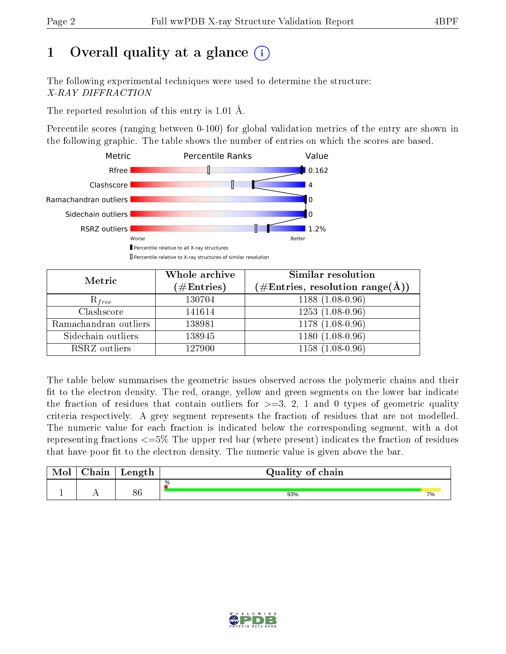# 1 [O](https://www.wwpdb.org/validation/2017/XrayValidationReportHelp#overall_quality)verall quality at a glance  $(i)$

The following experimental techniques were used to determine the structure: X-RAY DIFFRACTION

The reported resolution of this entry is 1.01 Å.

Percentile scores (ranging between 0-100) for global validation metrics of the entry are shown in the following graphic. The table shows the number of entries on which the scores are based.



| Metric                | Whole archive<br>$(\#\text{Entries})$ | Similar resolution<br>$(\#\text{Entries},\,\text{resolution}\,\,\text{range}(\textup{\AA}))$ |
|-----------------------|---------------------------------------|----------------------------------------------------------------------------------------------|
| $R_{free}$            | 130704                                | $1188(1.08-0.96)$                                                                            |
| Clashscore            | 141614                                | $1253(1.08-0.96)$                                                                            |
| Ramachandran outliers | 138981                                | $1178(1.08-0.96)$                                                                            |
| Sidechain outliers    | 138945                                | $1180(1.08-0.96)$                                                                            |
| RSRZ outliers         | 127900                                | $1158(1.08-0.96)$                                                                            |

The table below summarises the geometric issues observed across the polymeric chains and their fit to the electron density. The red, orange, yellow and green segments on the lower bar indicate the fraction of residues that contain outliers for  $>=3, 2, 1$  and 0 types of geometric quality criteria respectively. A grey segment represents the fraction of residues that are not modelled. The numeric value for each fraction is indicated below the corresponding segment, with a dot representing fractions <=5% The upper red bar (where present) indicates the fraction of residues that have poor fit to the electron density. The numeric value is given above the bar.

| Mol | $\sim$ $\sim$<br>hain | Length   | Quality of chain |    |
|-----|-----------------------|----------|------------------|----|
|     | . .                   | QC<br>ot | %<br>93%         | 7% |

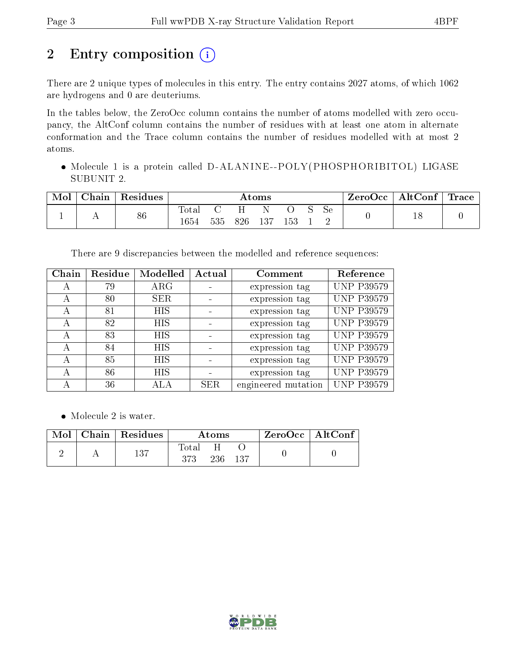# 2 Entry composition (i)

There are 2 unique types of molecules in this entry. The entry contains 2027 atoms, of which 1062 are hydrogens and 0 are deuteriums.

In the tables below, the ZeroOcc column contains the number of atoms modelled with zero occupancy, the AltConf column contains the number of residues with at least one atom in alternate conformation and the Trace column contains the number of residues modelled with at most 2 atoms.

 Molecule 1 is a protein called D-ALANINE--POLY(PHOSPHORIBITOL) LIGASE SUBUNIT 2.

| Mol | Chain | Residues | $\rm{Atoms}$  |     |          |     |     | $\text{ZeroOcc} \mid \text{AltConf} \mid$ | $^{\mathrm{+}}$ Trace $_{\mathrm{+}}$ |  |  |
|-----|-------|----------|---------------|-----|----------|-----|-----|-------------------------------------------|---------------------------------------|--|--|
|     |       | 86       | Total<br>1654 | 535 | н<br>826 | 137 | 153 |                                           | <b>Se</b>                             |  |  |

There are 9 discrepancies between the modelled and reference sequences:

| Chain | Residue | Modelled   | Actual | Comment             | Reference         |
|-------|---------|------------|--------|---------------------|-------------------|
|       | 79      | $\rm{ARG}$ |        | expression tag      | <b>UNP P39579</b> |
| А     | 80      | <b>SER</b> |        | expression tag      | <b>UNP P39579</b> |
| А     | 81      | <b>HIS</b> |        | expression tag      | <b>UNP P39579</b> |
| А     | 82      | <b>HIS</b> |        | expression tag      | <b>UNP P39579</b> |
|       | 83      | HIS.       |        | expression tag      | <b>UNP P39579</b> |
|       | 84      | <b>HIS</b> |        | expression tag      | <b>UNP P39579</b> |
| А     | 85      | <b>HIS</b> |        | expression tag      | <b>UNP P39579</b> |
| А     | 86      | <b>HIS</b> |        | expression tag      | <b>UNP P39579</b> |
|       | 36      |            | SER.   | engineered mutation | <b>UNP P39579</b> |

• Molecule 2 is water.

| Mol | Chain   Residues | Atoms        |     | $ZeroOcc$   AltConf |  |
|-----|------------------|--------------|-----|---------------------|--|
|     | 137              | Total<br>373 | 236 | 137                 |  |

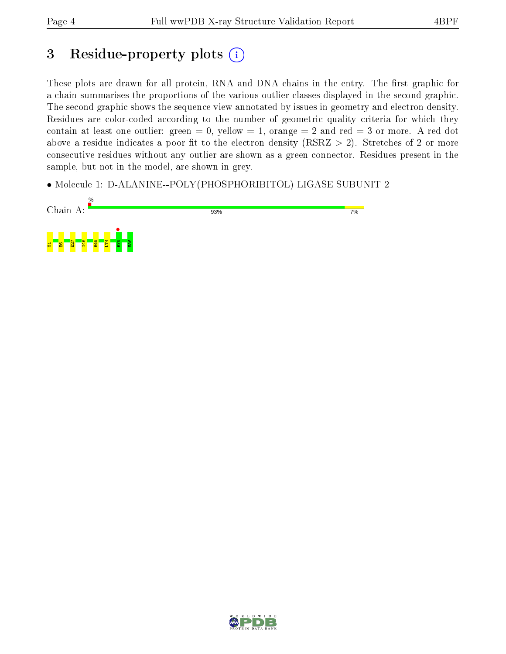## 3 Residue-property plots  $(i)$

These plots are drawn for all protein, RNA and DNA chains in the entry. The first graphic for a chain summarises the proportions of the various outlier classes displayed in the second graphic. The second graphic shows the sequence view annotated by issues in geometry and electron density. Residues are color-coded according to the number of geometric quality criteria for which they contain at least one outlier: green  $= 0$ , yellow  $= 1$ , orange  $= 2$  and red  $= 3$  or more. A red dot above a residue indicates a poor fit to the electron density (RSRZ  $> 2$ ). Stretches of 2 or more consecutive residues without any outlier are shown as a green connector. Residues present in the sample, but not in the model, are shown in grey.

• Molecule 1: D-ALANINE--POLY(PHOSPHORIBITOL) LIGASE SUBUNIT 2



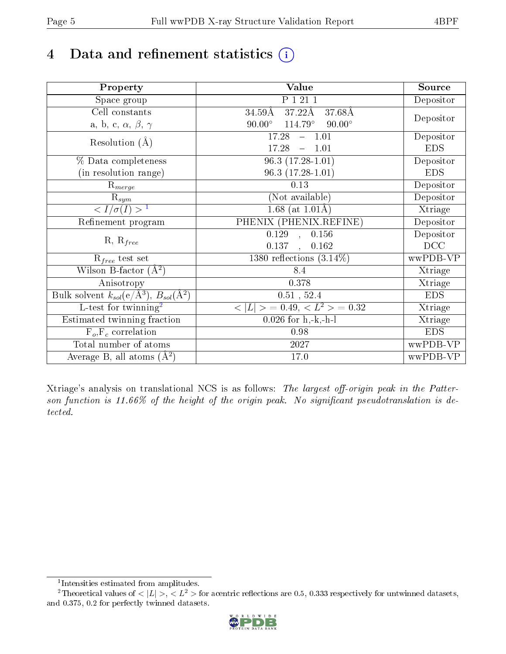# 4 Data and refinement statistics  $(i)$

| Property                                                             | Value                                            | Source                       |
|----------------------------------------------------------------------|--------------------------------------------------|------------------------------|
| $\overline{\text{Space}}$ group                                      | P 1 21 1                                         | Depositor                    |
| Cell constants                                                       | $37.22\text{\AA}$<br>$34.59\text{\AA}$<br>37.68Å |                              |
| a, b, c, $\alpha$ , $\beta$ , $\gamma$                               | $114.79^\circ$<br>$90.00^\circ$<br>$90.00^\circ$ | Depositor                    |
| Resolution $(A)$                                                     | $-1.01$<br>17.28                                 | Depositor                    |
|                                                                      | 17.28<br>$-1.01$                                 | <b>EDS</b>                   |
| % Data completeness                                                  | $96.3(17.28-1.01)$                               | Depositor                    |
| (in resolution range)                                                | $96.3(17.28-1.01)$                               | <b>EDS</b>                   |
| $R_{merge}$                                                          | 0.13                                             | Depositor                    |
| $\mathrm{R}_{sym}$                                                   | (Not available)                                  | Depositor                    |
| $\langle I/\sigma(I) \rangle$ <sup>1</sup>                           | $1.68$ (at 1.01Å)                                | Xtriage                      |
| Refinement program                                                   | PHENIX (PHENIX.REFINE)                           | Depositor                    |
|                                                                      | 0.156<br>$\overline{0.129}$ ,                    | Depositor                    |
| $R, R_{free}$                                                        | 0.137<br>0.162<br>$\ddot{\phantom{a}}$           | DCC                          |
| $R_{free}$ test set                                                  | $1380$ reflections $(3.14\%)$                    | wwPDB-VP                     |
| Wilson B-factor $(A^2)$                                              | 8.4                                              | Xtriage                      |
| Anisotropy                                                           | 0.378                                            | $\overline{\text{X}}$ triage |
| Bulk solvent $k_{sol}(e/\mathring{A}^3)$ , $B_{sol}(\mathring{A}^2)$ | $\overline{0.51}$ , 52.4                         | <b>EDS</b>                   |
| L-test for twinning <sup>2</sup>                                     | $< L >$ = 0.49, $< L2$ = 0.32                    | Xtriage                      |
| Estimated twinning fraction                                          | $\overline{0.0}26$ for h,-k,-h-l                 | Xtriage                      |
| $F_o, F_c$ correlation                                               | 0.98                                             | <b>EDS</b>                   |
| Total number of atoms                                                | $\overline{2}027$                                | wwPDB-VP                     |
| Average B, all atoms $(A^2)$                                         | 17.0                                             | wwPDB-VP                     |

Xtriage's analysis on translational NCS is as follows: The largest off-origin peak in the Patterson function is 11.66% of the height of the origin peak. No significant pseudotranslation is detected.

<sup>&</sup>lt;sup>2</sup>Theoretical values of  $\langle |L| \rangle$ ,  $\langle L^2 \rangle$  for acentric reflections are 0.5, 0.333 respectively for untwinned datasets, and 0.375, 0.2 for perfectly twinned datasets.



<span id="page-4-1"></span><span id="page-4-0"></span><sup>1</sup> Intensities estimated from amplitudes.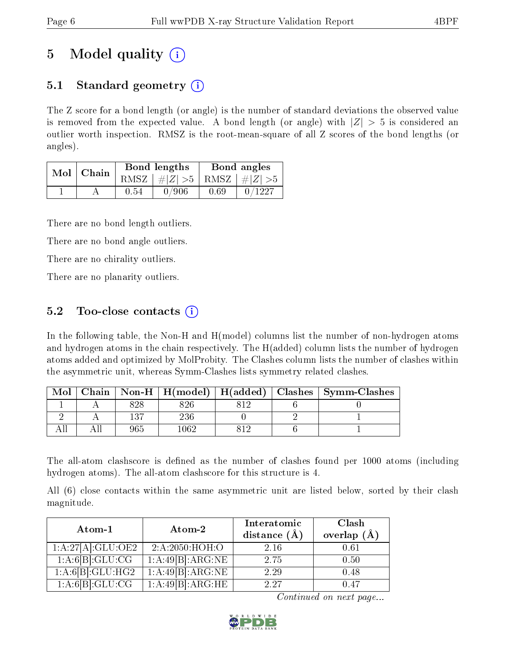## 5 Model quality  $(i)$

## 5.1 Standard geometry (i)

The Z score for a bond length (or angle) is the number of standard deviations the observed value is removed from the expected value. A bond length (or angle) with  $|Z| > 5$  is considered an outlier worth inspection. RMSZ is the root-mean-square of all Z scores of the bond lengths (or angles).

| Mol | Chain |      | <b>Bond lengths</b>        | Bond angles |        |  |
|-----|-------|------|----------------------------|-------------|--------|--|
|     |       | RMSZ | $\#Z  > 5$ RMSZ $\#Z  > 5$ |             |        |  |
|     |       | 0.54 | 0/906                      | 0.69        | 0/1227 |  |

There are no bond length outliers.

There are no bond angle outliers.

There are no chirality outliers.

There are no planarity outliers.

### 5.2 Too-close contacts  $\overline{()}$

In the following table, the Non-H and H(model) columns list the number of non-hydrogen atoms and hydrogen atoms in the chain respectively. The H(added) column lists the number of hydrogen atoms added and optimized by MolProbity. The Clashes column lists the number of clashes within the asymmetric unit, whereas Symm-Clashes lists symmetry related clashes.

| Mol |     |      |  | Chain   Non-H   H(model)   H(added)   Clashes   Symm-Clashes |
|-----|-----|------|--|--------------------------------------------------------------|
|     | 828 | 826  |  |                                                              |
|     | 197 | 236  |  |                                                              |
|     | 965 | .062 |  |                                                              |

The all-atom clashscore is defined as the number of clashes found per 1000 atoms (including hydrogen atoms). The all-atom clashscore for this structure is 4.

All (6) close contacts within the same asymmetric unit are listed below, sorted by their clash magnitude.

| Atom-1                         | Atom-2           | Interatomic<br>distance $(\AA)$ | Clash<br>overlap $(\AA)$ |
|--------------------------------|------------------|---------------------------------|--------------------------|
| $1:A:27[A]:GLU:\overline{OE2}$ | 2:A:2050:HOH:O   | 2.16                            | 0.61                     |
| $1:A:\overline{6[B]:GLU:CG}$   | 1:A:49[B]:ARG:NE | 2.75                            | 0.50                     |
| 1:A:6[B]:GLU:HG2               | 1:A:49[B]:ARG:NE | 2.29                            | 0.48                     |
| 1: A:6[B]: GLU:CG              | 1:A:49[B]:ARG:HE | 2.27                            | 0.47                     |

Continued on next page...

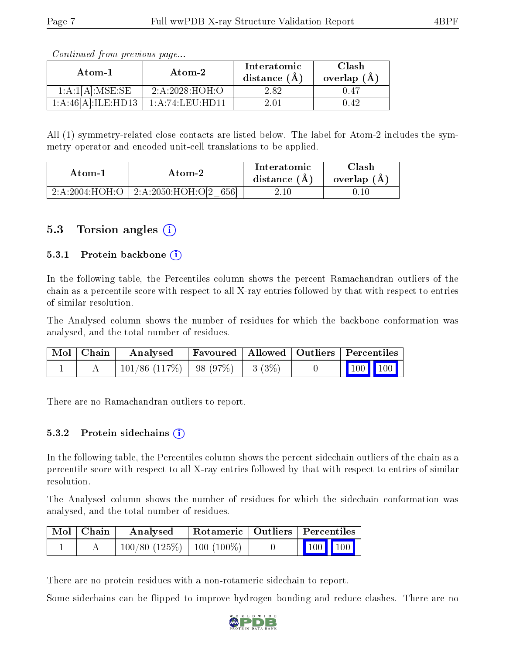| Atom-1             | Atom-2          | Interatomic<br>distance $(A)$ | Clash<br>overlap $(A)$ |  |
|--------------------|-----------------|-------------------------------|------------------------|--|
| 1:A:1[A]:MSE:SE    | 2: A:2028:HOH:O | 2.82                          | () 47                  |  |
| 1:A:46[A]:ILE:HD13 | 1:A:74:LEU:HD11 |                               | 142                    |  |

Continued from previous page...

All (1) symmetry-related close contacts are listed below. The label for Atom-2 includes the symmetry operator and encoded unit-cell translations to be applied.

| Atom-1         | Atom-2                   | Interatomic<br>distance (A) | Clash<br>overlap $(A)$ |
|----------------|--------------------------|-----------------------------|------------------------|
| 2:A:2004:HOH:O | 2:A:2050:HOH:O[2]<br>656 | 4.IO.                       |                        |

### 5.3 Torsion angles (i)

#### 5.3.1 Protein backbone  $(i)$

In the following table, the Percentiles column shows the percent Ramachandran outliers of the chain as a percentile score with respect to all X-ray entries followed by that with respect to entries of similar resolution.

The Analysed column shows the number of residues for which the backbone conformation was analysed, and the total number of residues.

| Mol   Chain | Analysed                               | Favoured   Allowed   Outliers   Percentiles |  |                 |  |
|-------------|----------------------------------------|---------------------------------------------|--|-----------------|--|
|             | $101/86$ (117\%)   98 (97\%)   3 (3\%) |                                             |  | $\vert$ 100 100 |  |

There are no Ramachandran outliers to report.

#### $5.3.2$  Protein sidechains  $(i)$

In the following table, the Percentiles column shows the percent sidechain outliers of the chain as a percentile score with respect to all X-ray entries followed by that with respect to entries of similar resolution.

The Analysed column shows the number of residues for which the sidechain conformation was analysed, and the total number of residues.

| Mol   Chain | Analysed                       | Rotameric   Outliers   Percentiles |                         |  |
|-------------|--------------------------------|------------------------------------|-------------------------|--|
|             | $100/80$ (125\%)   100 (100\%) |                                    | $\vert$ 100 100 $\vert$ |  |

There are no protein residues with a non-rotameric sidechain to report.

Some sidechains can be flipped to improve hydrogen bonding and reduce clashes. There are no

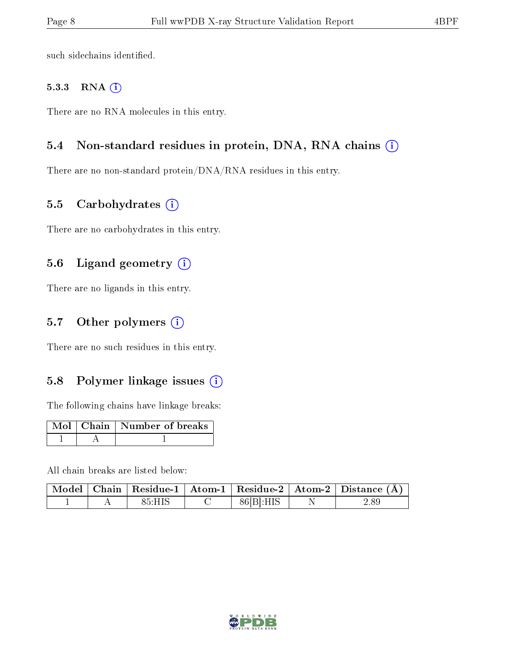such sidechains identified.

#### 5.3.3 RNA (i)

There are no RNA molecules in this entry.

#### 5.4 Non-standard residues in protein, DNA, RNA chains  $(i)$

There are no non-standard protein/DNA/RNA residues in this entry.

#### 5.5 Carbohydrates  $(i)$

There are no carbohydrates in this entry.

### 5.6 Ligand geometry (i)

There are no ligands in this entry.

#### 5.7 [O](https://www.wwpdb.org/validation/2017/XrayValidationReportHelp#nonstandard_residues_and_ligands)ther polymers  $(i)$

There are no such residues in this entry.

### 5.8 Polymer linkage issues  $(i)$

The following chains have linkage breaks:

|  | Mol   Chain   Number of breaks |
|--|--------------------------------|
|  |                                |

All chain breaks are listed below:

|  |        |           | $\mid$ Model $\mid$ Chain $\mid$ Residue-1 $\mid$ Atom-1 $\mid$ Residue-2 $\mid$ Atom-2 $\mid$ Distance (Å) |
|--|--------|-----------|-------------------------------------------------------------------------------------------------------------|
|  | 85:HIS | 86 B :HIS | 2.89                                                                                                        |